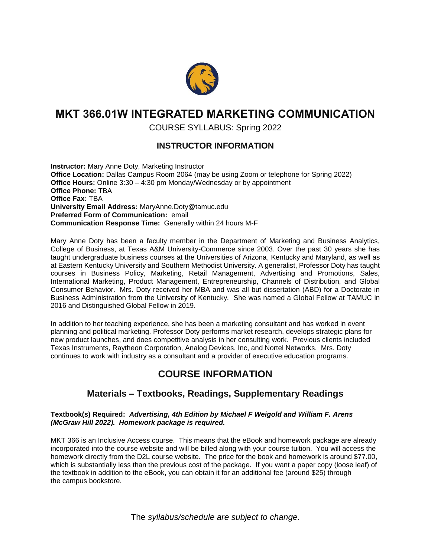

# **MKT 366.01W INTEGRATED MARKETING COMMUNICATION**

COURSE SYLLABUS: Spring 2022

### **INSTRUCTOR INFORMATION**

**Instructor:** Mary Anne Doty, Marketing Instructor **Office Location:** Dallas Campus Room 2064 (may be using Zoom or telephone for Spring 2022) **Office Hours:** Online 3:30 – 4:30 pm Monday/Wednesday or by appointment **Office Phone:** TBA **Office Fax:** TBA **University Email Address:** MaryAnne.Doty@tamuc.edu **Preferred Form of Communication:** email **Communication Response Time:** Generally within 24 hours M-F

Mary Anne Doty has been a faculty member in the Department of Marketing and Business Analytics, College of Business, at Texas A&M University-Commerce since 2003. Over the past 30 years she has taught undergraduate business courses at the Universities of Arizona, Kentucky and Maryland, as well as at Eastern Kentucky University and Southern Methodist University. A generalist, Professor Doty has taught courses in Business Policy, Marketing, Retail Management, Advertising and Promotions, Sales, International Marketing, Product Management, Entrepreneurship, Channels of Distribution, and Global Consumer Behavior. Mrs. Doty received her MBA and was all but dissertation (ABD) for a Doctorate in Business Administration from the University of Kentucky. She was named a Global Fellow at TAMUC in 2016 and Distinguished Global Fellow in 2019.

In addition to her teaching experience, she has been a marketing consultant and has worked in event planning and political marketing. Professor Doty performs market research, develops strategic plans for new product launches, and does competitive analysis in her consulting work. Previous clients included Texas Instruments, Raytheon Corporation, Analog Devices, Inc, and Nortel Networks. Mrs. Doty continues to work with industry as a consultant and a provider of executive education programs.

# **COURSE INFORMATION**

## **Materials – Textbooks, Readings, Supplementary Readings**

#### **Textbook(s) Required:** *Advertising, 4th Edition by Michael F Weigold and William F. Arens (McGraw Hill 2022). Homework package is required.*

MKT 366 is an Inclusive Access course. This means that the eBook and homework package are already incorporated into the course website and will be billed along with your course tuition. You will access the homework directly from the D2L course website. The price for the book and homework is around \$77.00, which is substantially less than the previous cost of the package. If you want a paper copy (loose leaf) of the textbook in addition to the eBook, you can obtain it for an additional fee (around \$25) through the campus bookstore.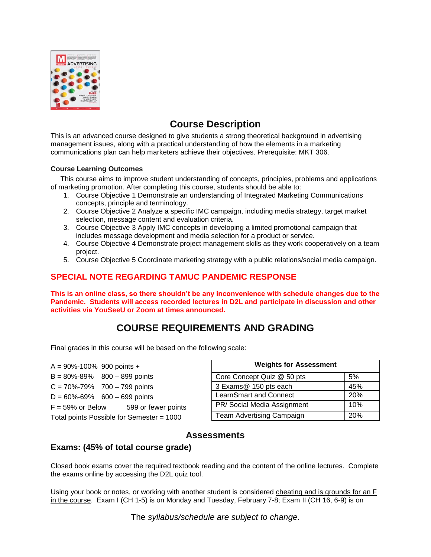

# **Course Description**

This is an advanced course designed to give students a strong theoretical background in advertising management issues, along with a practical understanding of how the elements in a marketing communications plan can help marketers achieve their objectives. Prerequisite: MKT 306.

#### **Course Learning Outcomes**

 This course aims to improve student understanding of concepts, principles, problems and applications of marketing promotion. After completing this course, students should be able to:

- 1. Course Objective 1 Demonstrate an understanding of Integrated Marketing Communications concepts, principle and terminology.
- 2. Course Objective 2 Analyze a specific IMC campaign, including media strategy, target market selection, message content and evaluation criteria.
- 3. Course Objective 3 Apply IMC concepts in developing a limited promotional campaign that includes message development and media selection for a product or service.
- 4. Course Objective 4 Demonstrate project management skills as they work cooperatively on a team project.
- 5. Course Objective 5 Coordinate marketing strategy with a public relations/social media campaign.

### **SPECIAL NOTE REGARDING TAMUC PANDEMIC RESPONSE**

**This is an online class, so there shouldn't be any inconvenience with schedule changes due to the Pandemic. Students will access recorded lectures in D2L and participate in discussion and other activities via YouSeeU or Zoom at times announced.** 

# **COURSE REQUIREMENTS AND GRADING**

Final grades in this course will be based on the following scale:

 $A = 90\% - 100\%$  900 points +  $B = 80\% - 89\%$  800 – 899 points  $C = 70\% - 79\%$  700 – 799 points  $D = 60\% - 69\%$  600 – 699 points  $F = 59\%$  or Below  $599$  or fewer points Total points Possible for Semester = 1000

| <b>Weights for Assessment</b> |     |
|-------------------------------|-----|
| Core Concept Quiz @ 50 pts    | 5%  |
| 3 Exams@ 150 pts each         | 45% |
| <b>LearnSmart and Connect</b> | 20% |
| PR/Social Media Assignment    | 10% |
| Team Advertising Campaign     | 20% |

## **Assessments**

### **Exams: (45% of total course grade)**

Closed book exams cover the required textbook reading and the content of the online lectures. Complete the exams online by accessing the D2L quiz tool.

Using your book or notes, or working with another student is considered cheating and is grounds for an F in the course. Exam I (CH 1-5) is on Monday and Tuesday, February 7-8; Exam II (CH 16, 6-9) is on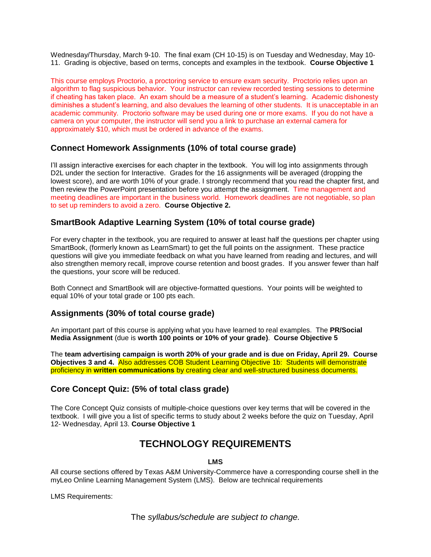Wednesday/Thursday, March 9-10. The final exam (CH 10-15) is on Tuesday and Wednesday, May 10- 11. Grading is objective, based on terms, concepts and examples in the textbook. **Course Objective 1**

This course employs Proctorio, a proctoring service to ensure exam security. Proctorio relies upon an algorithm to flag suspicious behavior. Your instructor can review recorded testing sessions to determine if cheating has taken place. An exam should be a measure of a student's learning. Academic dishonesty diminishes a student's learning, and also devalues the learning of other students. It is unacceptable in an academic community. Proctorio software may be used during one or more exams. If you do not have a camera on your computer, the instructor will send you a link to purchase an external camera for approximately \$10, which must be ordered in advance of the exams.

### **Connect Homework Assignments (10% of total course grade)**

I'll assign interactive exercises for each chapter in the textbook. You will log into assignments through D2L under the section for Interactive. Grades for the 16 assignments will be averaged (dropping the lowest score), and are worth 10% of your grade. I strongly recommend that you read the chapter first, and then review the PowerPoint presentation before you attempt the assignment. Time management and meeting deadlines are important in the business world. Homework deadlines are not negotiable, so plan to set up reminders to avoid a zero. **Course Objective 2.**

### **SmartBook Adaptive Learning System (10% of total course grade)**

For every chapter in the textbook, you are required to answer at least half the questions per chapter using SmartBook, (formerly known as LearnSmart) to get the full points on the assignment. These practice questions will give you immediate feedback on what you have learned from reading and lectures, and will also strengthen memory recall, improve course retention and boost grades. If you answer fewer than half the questions, your score will be reduced.

Both Connect and SmartBook will are objective-formatted questions. Your points will be weighted to equal 10% of your total grade or 100 pts each.

### **Assignments (30% of total course grade)**

An important part of this course is applying what you have learned to real examples. The **PR/Social Media Assignment** (due is **worth 100 points or 10% of your grade)**. **Course Objective 5**

The **team advertising campaign is worth 20% of your grade and is due on Friday, April 29. Course Objectives 3 and 4.** Also addresses COB Student Learning Objective 1b: Students will demonstrate proficiency in **written communications** by creating clear and well-structured business documents.

### **Core Concept Quiz: (5% of total class grade)**

The Core Concept Quiz consists of multiple-choice questions over key terms that will be covered in the textbook. I will give you a list of specific terms to study about 2 weeks before the quiz on Tuesday, April 12- Wednesday, April 13. **Course Objective 1**

## **TECHNOLOGY REQUIREMENTS**

**LMS**

All course sections offered by Texas A&M University-Commerce have a corresponding course shell in the myLeo Online Learning Management System (LMS). Below are technical requirements

LMS Requirements: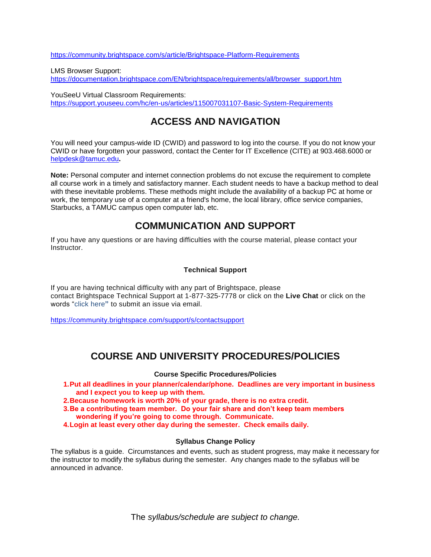<https://community.brightspace.com/s/article/Brightspace-Platform-Requirements>

LMS Browser Support: [https://documentation.brightspace.com/EN/brightspace/requirements/all/browser\\_support.htm](https://documentation.brightspace.com/EN/brightspace/requirements/all/browser_support.htm)

YouSeeU Virtual Classroom Requirements: <https://support.youseeu.com/hc/en-us/articles/115007031107-Basic-System-Requirements>

# **ACCESS AND NAVIGATION**

You will need your campus-wide ID (CWID) and password to log into the course. If you do not know your CWID or have forgotten your password, contact the Center for IT Excellence (CITE) at 903.468.6000 or [helpdesk@tamuc.edu](mailto:helpdesk@tamuc.edu)**.**

**Note:** Personal computer and internet connection problems do not excuse the requirement to complete all course work in a timely and satisfactory manner. Each student needs to have a backup method to deal with these inevitable problems. These methods might include the availability of a backup PC at home or work, the temporary use of a computer at a friend's home, the local library, office service companies, Starbucks, a TAMUC campus open computer lab, etc.

## **COMMUNICATION AND SUPPORT**

If you have any questions or are having difficulties with the course material, please contact your **Instructor** 

#### **Technical Support**

If you are having technical difficulty with any part of Brightspace, please contact Brightspace Technical Support at 1-877-325-7778 or click on the **Live Chat** or click on the words "click here**"** to submit an issue via email.

<https://community.brightspace.com/support/s/contactsupport>

## **COURSE AND UNIVERSITY PROCEDURES/POLICIES**

#### **Course Specific Procedures/Policies**

- **1.Put all deadlines in your planner/calendar/phone. Deadlines are very important in business and I expect you to keep up with them.**
- **2.Because homework is worth 20% of your grade, there is no extra credit.**
- **3.Be a contributing team member. Do your fair share and don't keep team members wondering if you're going to come through. Communicate.**
- **4.Login at least every other day during the semester. Check emails daily.**

#### **Syllabus Change Policy**

The syllabus is a guide. Circumstances and events, such as student progress, may make it necessary for the instructor to modify the syllabus during the semester. Any changes made to the syllabus will be announced in advance.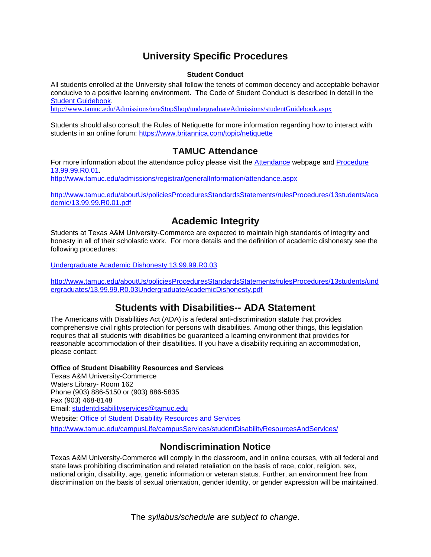## **University Specific Procedures**

#### **Student Conduct**

All students enrolled at the University shall follow the tenets of common decency and acceptable behavior conducive to a positive learning environment. The Code of Student Conduct is described in detail in the [Student Guidebook.](http://www.tamuc.edu/Admissions/oneStopShop/undergraduateAdmissions/studentGuidebook.aspx)

<http://www.tamuc.edu/Admissions/oneStopShop/undergraduateAdmissions/studentGuidebook.aspx>

Students should also consult the Rules of Netiquette for more information regarding how to interact with students in an online forum:<https://www.britannica.com/topic/netiquette>

## **TAMUC Attendance**

For more information about the attendance policy please visit the [Attendance](http://www.tamuc.edu/admissions/registrar/generalInformation/attendance.aspx) webpage and Procedure [13.99.99.R0.01.](http://www.tamuc.edu/aboutUs/policiesProceduresStandardsStatements/rulesProcedures/13students/academic/13.99.99.R0.01.pdf)

<http://www.tamuc.edu/admissions/registrar/generalInformation/attendance.aspx>

[http://www.tamuc.edu/aboutUs/policiesProceduresStandardsStatements/rulesProcedures/13students/aca](http://www.tamuc.edu/aboutUs/policiesProceduresStandardsStatements/rulesProcedures/13students/academic/13.99.99.R0.01.pdf) [demic/13.99.99.R0.01.pdf](http://www.tamuc.edu/aboutUs/policiesProceduresStandardsStatements/rulesProcedures/13students/academic/13.99.99.R0.01.pdf)

## **Academic Integrity**

Students at Texas A&M University-Commerce are expected to maintain high standards of integrity and honesty in all of their scholastic work. For more details and the definition of academic dishonesty see the following procedures:

[Undergraduate Academic Dishonesty 13.99.99.R0.03](http://www.tamuc.edu/aboutUs/policiesProceduresStandardsStatements/rulesProcedures/13students/undergraduates/13.99.99.R0.03UndergraduateAcademicDishonesty.pdf)

[http://www.tamuc.edu/aboutUs/policiesProceduresStandardsStatements/rulesProcedures/13students/und](http://www.tamuc.edu/aboutUs/policiesProceduresStandardsStatements/rulesProcedures/13students/undergraduates/13.99.99.R0.03UndergraduateAcademicDishonesty.pdf) [ergraduates/13.99.99.R0.03UndergraduateAcademicDishonesty.pdf](http://www.tamuc.edu/aboutUs/policiesProceduresStandardsStatements/rulesProcedures/13students/undergraduates/13.99.99.R0.03UndergraduateAcademicDishonesty.pdf)

## **Students with Disabilities-- ADA Statement**

The Americans with Disabilities Act (ADA) is a federal anti-discrimination statute that provides comprehensive civil rights protection for persons with disabilities. Among other things, this legislation requires that all students with disabilities be guaranteed a learning environment that provides for reasonable accommodation of their disabilities. If you have a disability requiring an accommodation, please contact:

**Office of Student Disability Resources and Services**

Texas A&M University-Commerce Waters Library- Room 162 Phone (903) 886-5150 or (903) 886-5835 Fax (903) 468-8148 Email: [studentdisabilityservices@tamuc.edu](mailto:studentdisabilityservices@tamuc.edu) Website: [Office of Student Disability Resources and Services](http://www.tamuc.edu/campusLife/campusServices/studentDisabilityResourcesAndServices/) <http://www.tamuc.edu/campusLife/campusServices/studentDisabilityResourcesAndServices/>

## **Nondiscrimination Notice**

Texas A&M University-Commerce will comply in the classroom, and in online courses, with all federal and state laws prohibiting discrimination and related retaliation on the basis of race, color, religion, sex, national origin, disability, age, genetic information or veteran status. Further, an environment free from discrimination on the basis of sexual orientation, gender identity, or gender expression will be maintained.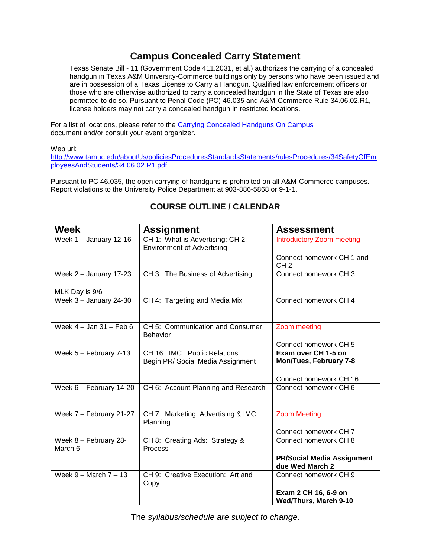# **Campus Concealed Carry Statement**

Texas Senate Bill - 11 (Government Code 411.2031, et al.) authorizes the carrying of a concealed handgun in Texas A&M University-Commerce buildings only by persons who have been issued and are in possession of a Texas License to Carry a Handgun. Qualified law enforcement officers or those who are otherwise authorized to carry a concealed handgun in the State of Texas are also permitted to do so. Pursuant to Penal Code (PC) 46.035 and A&M-Commerce Rule 34.06.02.R1, license holders may not carry a concealed handgun in restricted locations.

For a list of locations, please refer to the [Carrying Concealed Handguns On Campus](http://www.tamuc.edu/aboutUs/policiesProceduresStandardsStatements/rulesProcedures/34SafetyOfEmployeesAndStudents/34.06.02.R1.pdf) document and/or consult your event organizer.

Web url:

[http://www.tamuc.edu/aboutUs/policiesProceduresStandardsStatements/rulesProcedures/34SafetyOfEm](http://www.tamuc.edu/aboutUs/policiesProceduresStandardsStatements/rulesProcedures/34SafetyOfEmployeesAndStudents/34.06.02.R1.pdf) [ployeesAndStudents/34.06.02.R1.pdf](http://www.tamuc.edu/aboutUs/policiesProceduresStandardsStatements/rulesProcedures/34SafetyOfEmployeesAndStudents/34.06.02.R1.pdf)

Pursuant to PC 46.035, the open carrying of handguns is prohibited on all A&M-Commerce campuses. Report violations to the University Police Department at 903-886-5868 or 9-1-1.

| <b>Week</b>                      | <b>Assignment</b>                                                     | <b>Assessment</b>                                    |
|----------------------------------|-----------------------------------------------------------------------|------------------------------------------------------|
| Week $1 -$ January 12-16         | CH 1: What is Advertising; CH 2:<br><b>Environment of Advertising</b> | <b>Introductory Zoom meeting</b>                     |
|                                  |                                                                       | Connect homework CH 1 and<br>CH <sub>2</sub>         |
| Week $2$ – January 17-23         | CH 3: The Business of Advertising                                     | Connect homework CH 3                                |
| MLK Day is 9/6                   |                                                                       |                                                      |
| Week $3 -$ January 24-30         | CH 4: Targeting and Media Mix                                         | Connect homework CH 4                                |
| Week $4 -$ Jan $31 -$ Feb 6      | CH 5: Communication and Consumer<br><b>Behavior</b>                   | Zoom meeting                                         |
|                                  |                                                                       | Connect homework CH 5                                |
| Week 5 - February 7-13           | CH 16: IMC: Public Relations<br>Begin PR/Social Media Assignment      | Exam over CH 1-5 on<br>Mon/Tues, February 7-8        |
|                                  |                                                                       | Connect homework CH 16                               |
| Week $6 -$ February $14 - 20$    | CH 6: Account Planning and Research                                   | Connect homework CH 6                                |
| Week 7 - February 21-27          | CH 7: Marketing, Advertising & IMC<br>Planning                        | <b>Zoom Meeting</b>                                  |
|                                  |                                                                       | Connect homework CH7                                 |
| Week 8 - February 28-<br>March 6 | CH 8: Creating Ads: Strategy &<br>Process                             | Connect homework CH 8                                |
|                                  |                                                                       | <b>PR/Social Media Assignment</b><br>due Wed March 2 |
| Week $9 -$ March $7 - 13$        | CH 9: Creative Execution: Art and<br>Copy                             | Connect homework CH 9                                |
|                                  |                                                                       | Exam 2 CH 16, 6-9 on<br><b>Wed/Thurs, March 9-10</b> |

## **COURSE OUTLINE / CALENDAR**